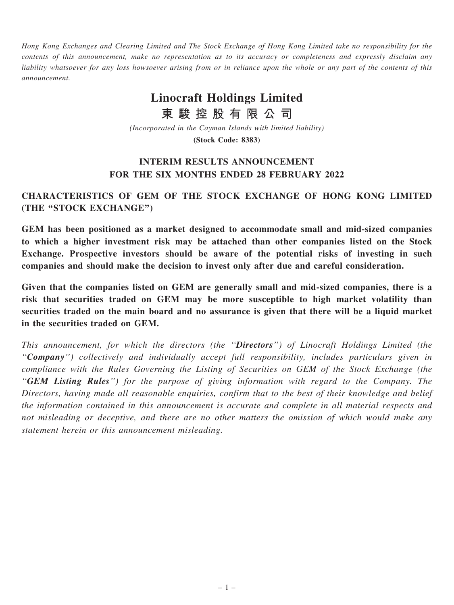Hong Kong Exchanges and Clearing Limited and The Stock Exchange of Hong Kong Limited take no responsibility for the contents of this announcement, make no representation as to its accuracy or completeness and expressly disclaim any liability whatsoever for any loss howsoever arising from or in reliance upon the whole or any part of the contents of this announcement.

# Linocraft Holdings Limited

東 駿 控 股 有 限 公 司

(Incorporated in the Cayman Islands with limited liability)

(Stock Code: 8383)

# INTERIM RESULTS ANNOUNCEMENT FOR THE SIX MONTHS ENDED 28 FEBRUARY 2022

# CHARACTERISTICS OF GEM OF THE STOCK EXCHANGE OF HONG KONG LIMITED (THE ''STOCK EXCHANGE'')

GEM has been positioned as a market designed to accommodate small and mid-sized companies to which a higher investment risk may be attached than other companies listed on the Stock Exchange. Prospective investors should be aware of the potential risks of investing in such companies and should make the decision to invest only after due and careful consideration.

Given that the companies listed on GEM are generally small and mid-sized companies, there is a risk that securities traded on GEM may be more susceptible to high market volatility than securities traded on the main board and no assurance is given that there will be a liquid market in the securities traded on GEM.

This announcement, for which the directors (the "Directors") of Linocraft Holdings Limited (the ''Company'') collectively and individually accept full responsibility, includes particulars given in compliance with the Rules Governing the Listing of Securities on GEM of the Stock Exchange (the ''GEM Listing Rules'') for the purpose of giving information with regard to the Company. The Directors, having made all reasonable enquiries, confirm that to the best of their knowledge and belief the information contained in this announcement is accurate and complete in all material respects and not misleading or deceptive, and there are no other matters the omission of which would make any statement herein or this announcement misleading.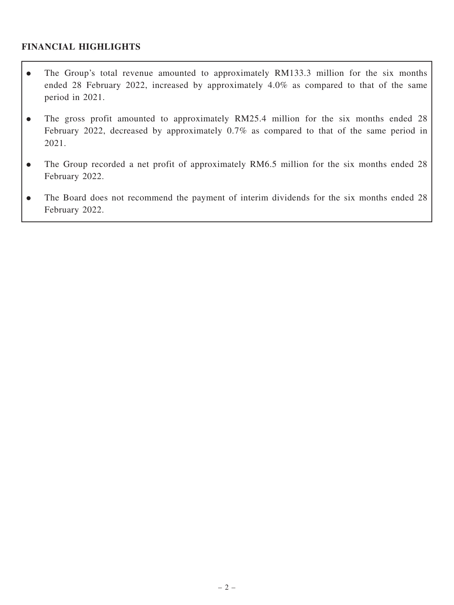### FINANCIAL HIGHLIGHTS

- . The Group's total revenue amounted to approximately RM133.3 million for the six months ended 28 February 2022, increased by approximately 4.0% as compared to that of the same period in 2021.
- The gross profit amounted to approximately RM25.4 million for the six months ended 28 February 2022, decreased by approximately 0.7% as compared to that of the same period in 2021.
- . The Group recorded a net profit of approximately RM6.5 million for the six months ended 28 February 2022.
- . The Board does not recommend the payment of interim dividends for the six months ended 28 February 2022.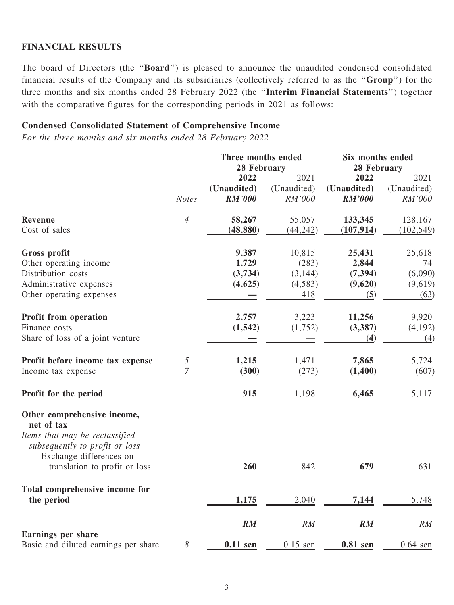### FINANCIAL RESULTS

The board of Directors (the ''Board'') is pleased to announce the unaudited condensed consolidated financial results of the Company and its subsidiaries (collectively referred to as the ''Group'') for the three months and six months ended 28 February 2022 (the ''Interim Financial Statements'') together with the comparative figures for the corresponding periods in 2021 as follows:

#### Condensed Consolidated Statement of Comprehensive Income

For the three months and six months ended 28 February 2022

|                                                                  |                       | Three months ended<br>28 February |             | Six months ended<br>28 February |             |
|------------------------------------------------------------------|-----------------------|-----------------------------------|-------------|---------------------------------|-------------|
|                                                                  |                       | 2022                              | 2021        | 2022                            | 2021        |
|                                                                  |                       | (Unaudited)                       | (Unaudited) | (Unaudited)                     | (Unaudited) |
|                                                                  | <b>Notes</b>          | <b>RM'000</b>                     | RM'000      | <b>RM'000</b>                   | RM'000      |
| Revenue                                                          | $\overline{4}$        | 58,267                            | 55,057      | 133,345                         | 128,167     |
| Cost of sales                                                    |                       | (48, 880)                         | (44, 242)   | (107, 914)                      | (102, 549)  |
| Gross profit                                                     |                       | 9,387                             | 10,815      | 25,431                          | 25,618      |
| Other operating income                                           |                       | 1,729                             | (283)       | 2,844                           | 74          |
| Distribution costs                                               |                       | (3,734)                           | (3, 144)    | (7, 394)                        | (6,090)     |
| Administrative expenses                                          |                       | (4,625)                           | (4,583)     | (9,620)                         | (9,619)     |
| Other operating expenses                                         |                       |                                   | 418         | (5)                             | (63)        |
| Profit from operation                                            |                       | 2,757                             | 3,223       | 11,256                          | 9,920       |
| Finance costs                                                    |                       | (1, 542)                          | (1,752)     | (3, 387)                        | (4,192)     |
| Share of loss of a joint venture                                 |                       |                                   |             | (4)                             | (4)         |
| Profit before income tax expense                                 | $\sqrt{5}$            | 1,215                             | 1,471       | 7,865                           | 5,724       |
| Income tax expense                                               | $\overline{7}$        | (300)                             | (273)       | (1,400)                         | (607)       |
| Profit for the period                                            |                       | 915                               | 1,198       | 6,465                           | 5,117       |
| Other comprehensive income,<br>net of tax                        |                       |                                   |             |                                 |             |
| Items that may be reclassified<br>subsequently to profit or loss |                       |                                   |             |                                 |             |
| - Exchange differences on                                        |                       |                                   |             |                                 |             |
| translation to profit or loss                                    |                       | 260                               | 842         | 679                             | 631         |
| Total comprehensive income for                                   |                       |                                   |             |                                 |             |
| the period                                                       |                       | 1,175                             | 2,040       | 7,144                           | 5,748       |
|                                                                  |                       | RM                                | RM          | RM                              | RM          |
| <b>Earnings per share</b>                                        |                       |                                   |             |                                 |             |
| Basic and diluted earnings per share                             | $\boldsymbol{\delta}$ | $0.11$ sen                        | $0.15$ sen  | $0.81$ sen                      | $0.64$ sen  |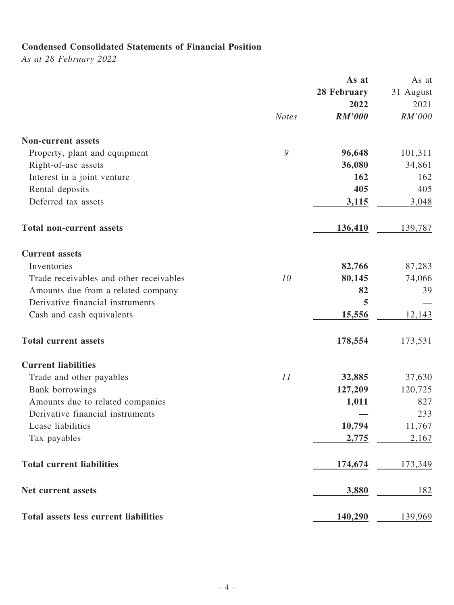# Condensed Consolidated Statements of Financial Position

As at 28 February 2022

|                                              |              | As at         | As at     |
|----------------------------------------------|--------------|---------------|-----------|
|                                              |              | 28 February   | 31 August |
|                                              |              | 2022          | 2021      |
|                                              | <b>Notes</b> | <b>RM'000</b> | RM'000    |
| <b>Non-current assets</b>                    |              |               |           |
| Property, plant and equipment                | 9            | 96,648        | 101,311   |
| Right-of-use assets                          |              | 36,080        | 34,861    |
| Interest in a joint venture                  |              | 162           | 162       |
| Rental deposits                              |              | 405           | 405       |
| Deferred tax assets                          |              | 3,115         | 3,048     |
| <b>Total non-current assets</b>              |              | 136,410       | 139,787   |
| <b>Current assets</b>                        |              |               |           |
| Inventories                                  |              | 82,766        | 87,283    |
| Trade receivables and other receivables      | 10           | 80,145        | 74,066    |
| Amounts due from a related company           |              | 82            | 39        |
| Derivative financial instruments             |              | 5             |           |
| Cash and cash equivalents                    |              | 15,556        | 12,143    |
| <b>Total current assets</b>                  |              | 178,554       | 173,531   |
| <b>Current liabilities</b>                   |              |               |           |
| Trade and other payables                     | 11           | 32,885        | 37,630    |
| Bank borrowings                              |              | 127,209       | 120,725   |
| Amounts due to related companies             |              | 1,011         | 827       |
| Derivative financial instruments             |              |               | 233       |
| Lease liabilities                            |              | 10,794        | 11,767    |
| Tax payables                                 |              | 2,775         | 2,167     |
| <b>Total current liabilities</b>             |              | 174,674       | 173,349   |
| Net current assets                           |              | 3,880         | 182       |
| <b>Total assets less current liabilities</b> |              | 140,290       | 139,969   |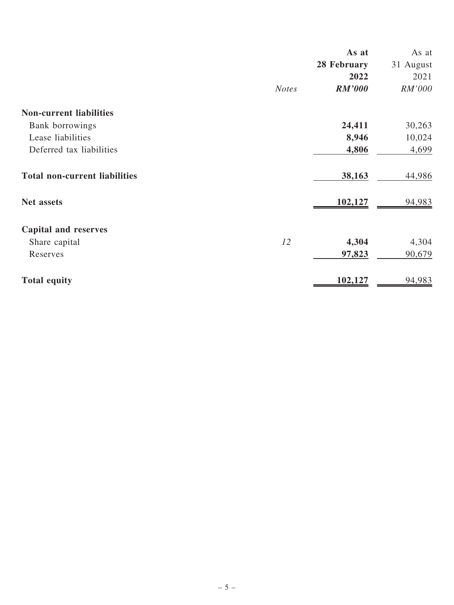|                                      |              | As at         | As at     |
|--------------------------------------|--------------|---------------|-----------|
|                                      |              | 28 February   | 31 August |
|                                      |              | 2022          | 2021      |
|                                      | <b>Notes</b> | <b>RM'000</b> | RM'000    |
| <b>Non-current liabilities</b>       |              |               |           |
| Bank borrowings                      |              | 24,411        | 30,263    |
| Lease liabilities                    |              | 8,946         | 10,024    |
| Deferred tax liabilities             |              | 4,806         | 4,699     |
| <b>Total non-current liabilities</b> |              | 38,163        | 44,986    |
| <b>Net assets</b>                    |              | 102,127       | 94,983    |
| <b>Capital and reserves</b>          |              |               |           |
| Share capital                        | 12           | 4,304         | 4,304     |
| Reserves                             |              | 97,823        | 90,679    |
| <b>Total equity</b>                  |              | 102,127       | 94,983    |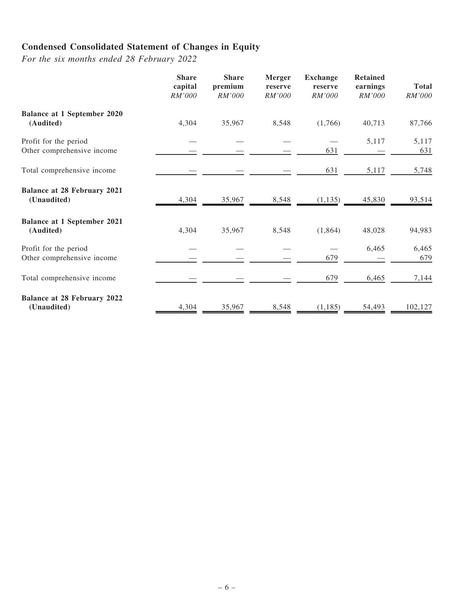# Condensed Consolidated Statement of Changes in Equity

For the six months ended 28 February 2022

|                                                     | <b>Share</b><br>capital<br>RM'000 | <b>Share</b><br>premium<br>RM'000 | Merger<br>reserve<br>RM'000 | <b>Exchange</b><br>reserve<br>RM'000 | <b>Retained</b><br>earnings<br>RM'000 | <b>Total</b><br>RM'000 |
|-----------------------------------------------------|-----------------------------------|-----------------------------------|-----------------------------|--------------------------------------|---------------------------------------|------------------------|
| <b>Balance at 1 September 2020</b><br>(Audited)     | 4,304                             | 35,967                            | 8,548                       | (1,766)                              | 40,713                                | 87,766                 |
| Profit for the period<br>Other comprehensive income |                                   |                                   |                             | 631                                  | 5,117                                 | 5,117<br>631           |
| Total comprehensive income                          |                                   |                                   |                             | 631                                  | 5,117                                 | 5,748                  |
| <b>Balance at 28 February 2021</b><br>(Unaudited)   | 4,304                             | 35,967                            | 8,548                       | (1, 135)                             | 45,830                                | 93,514                 |
| <b>Balance at 1 September 2021</b><br>(Audited)     | 4,304                             | 35,967                            | 8,548                       | (1,864)                              | 48,028                                | 94,983                 |
| Profit for the period<br>Other comprehensive income |                                   |                                   |                             | 679                                  | 6,465                                 | 6,465<br>679           |
| Total comprehensive income                          |                                   |                                   |                             | 679                                  | 6,465                                 | 7,144                  |
| <b>Balance at 28 February 2022</b><br>(Unaudited)   | 4,304                             | 35,967                            | 8,548                       | (1, 185)                             | 54,493                                | 102,127                |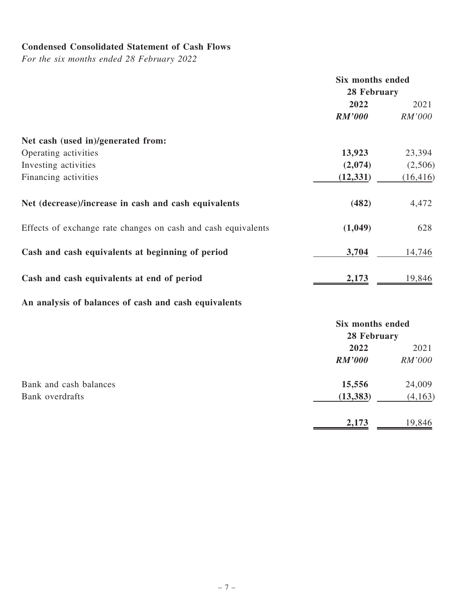# Condensed Consolidated Statement of Cash Flows

For the six months ended 28 February 2022

|                                                               | Six months ended        |           |  |
|---------------------------------------------------------------|-------------------------|-----------|--|
|                                                               | 28 February             |           |  |
|                                                               | 2022                    | 2021      |  |
|                                                               | <b>RM'000</b>           | RM'000    |  |
| Net cash (used in)/generated from:                            |                         |           |  |
| Operating activities                                          | 13,923                  | 23,394    |  |
| Investing activities                                          | (2,074)                 | (2,506)   |  |
| Financing activities                                          | (12, 331)               | (16, 416) |  |
| Net (decrease)/increase in cash and cash equivalents          | (482)                   | 4,472     |  |
| Effects of exchange rate changes on cash and cash equivalents | (1,049)                 | 628       |  |
| Cash and cash equivalents at beginning of period              | 3,704                   | 14,746    |  |
| Cash and cash equivalents at end of period                    | 2,173                   | 19,846    |  |
| An analysis of balances of cash and cash equivalents          |                         |           |  |
|                                                               | <b>Six months ended</b> |           |  |
|                                                               | 28 February             |           |  |
|                                                               | 2022                    | 2021      |  |
|                                                               | $RM'$ and               | $RM'$ 000 |  |

|                        | <b>IVIN OOD</b> | <i>INNI</i> UUU |
|------------------------|-----------------|-----------------|
| Bank and cash balances | 15,556          | 24,009          |
| Bank overdrafts        | (13, 383)       | (4,163)         |
|                        | 2,173           | 19,846          |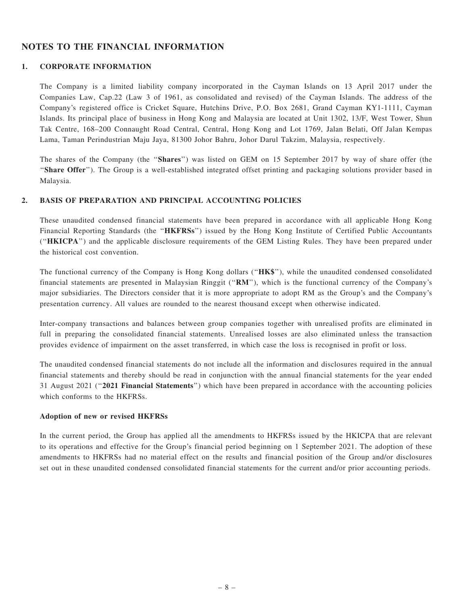### NOTES TO THE FINANCIAL INFORMATION

#### 1. CORPORATE INFORMATION

The Company is a limited liability company incorporated in the Cayman Islands on 13 April 2017 under the Companies Law, Cap.22 (Law 3 of 1961, as consolidated and revised) of the Cayman Islands. The address of the Company's registered office is Cricket Square, Hutchins Drive, P.O. Box 2681, Grand Cayman KY1-1111, Cayman Islands. Its principal place of business in Hong Kong and Malaysia are located at Unit 1302, 13/F, West Tower, Shun Tak Centre, 168–200 Connaught Road Central, Central, Hong Kong and Lot 1769, Jalan Belati, Off Jalan Kempas Lama, Taman Perindustrian Maju Jaya, 81300 Johor Bahru, Johor Darul Takzim, Malaysia, respectively.

The shares of the Company (the "Shares") was listed on GEM on 15 September 2017 by way of share offer (the ''Share Offer''). The Group is a well-established integrated offset printing and packaging solutions provider based in Malaysia.

#### 2. BASIS OF PREPARATION AND PRINCIPAL ACCOUNTING POLICIES

These unaudited condensed financial statements have been prepared in accordance with all applicable Hong Kong Financial Reporting Standards (the "HKFRSs") issued by the Hong Kong Institute of Certified Public Accountants (''HKICPA'') and the applicable disclosure requirements of the GEM Listing Rules. They have been prepared under the historical cost convention.

The functional currency of the Company is Hong Kong dollars ("HK\$"), while the unaudited condensed consolidated financial statements are presented in Malaysian Ringgit (''RM''), which is the functional currency of the Company's major subsidiaries. The Directors consider that it is more appropriate to adopt RM as the Group's and the Company's presentation currency. All values are rounded to the nearest thousand except when otherwise indicated.

Inter-company transactions and balances between group companies together with unrealised profits are eliminated in full in preparing the consolidated financial statements. Unrealised losses are also eliminated unless the transaction provides evidence of impairment on the asset transferred, in which case the loss is recognised in profit or loss.

The unaudited condensed financial statements do not include all the information and disclosures required in the annual financial statements and thereby should be read in conjunction with the annual financial statements for the year ended 31 August 2021 (''2021 Financial Statements'') which have been prepared in accordance with the accounting policies which conforms to the HKFRSs.

#### Adoption of new or revised HKFRSs

In the current period, the Group has applied all the amendments to HKFRSs issued by the HKICPA that are relevant to its operations and effective for the Group's financial period beginning on 1 September 2021. The adoption of these amendments to HKFRSs had no material effect on the results and financial position of the Group and/or disclosures set out in these unaudited condensed consolidated financial statements for the current and/or prior accounting periods.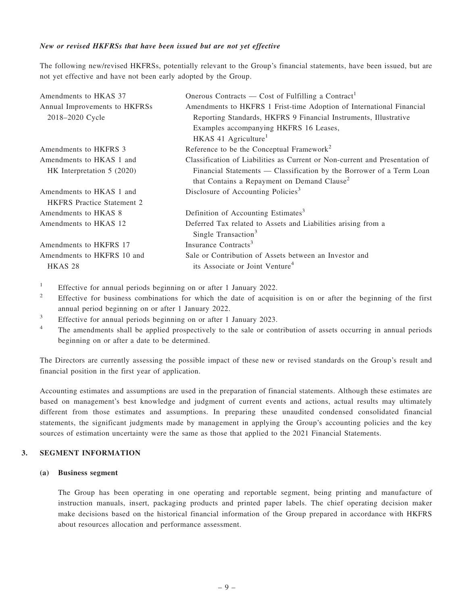#### New or revised HKFRSs that have been issued but are not yet effective

The following new/revised HKFRSs, potentially relevant to the Group's financial statements, have been issued, but are not yet effective and have not been early adopted by the Group.

| Amendments to HKAS 37             | Onerous Contracts — Cost of Fulfilling a Contract <sup>1</sup>              |
|-----------------------------------|-----------------------------------------------------------------------------|
| Annual Improvements to HKFRSs     | Amendments to HKFRS 1 Frist-time Adoption of International Financial        |
| 2018-2020 Cycle                   | Reporting Standards, HKFRS 9 Financial Instruments, Illustrative            |
|                                   | Examples accompanying HKFRS 16 Leases,                                      |
|                                   | HKAS 41 Agriculture <sup>1</sup>                                            |
| Amendments to HKFRS 3             | Reference to be the Conceptual Framework <sup>2</sup>                       |
| Amendments to HKAS 1 and          | Classification of Liabilities as Current or Non-current and Presentation of |
| HK Interpretation $5(2020)$       | Financial Statements — Classification by the Borrower of a Term Loan        |
|                                   | that Contains a Repayment on Demand Clause <sup>2</sup>                     |
| Amendments to HKAS 1 and          | Disclosure of Accounting Policies <sup>3</sup>                              |
| <b>HKFRS</b> Practice Statement 2 |                                                                             |
| Amendments to HKAS 8              | Definition of Accounting Estimates <sup>3</sup>                             |
| Amendments to HKAS 12             | Deferred Tax related to Assets and Liabilities arising from a               |
|                                   | Single Transaction <sup>3</sup>                                             |
| Amendments to HKFRS 17            | Insurance Contracts <sup>3</sup>                                            |
| Amendments to HKFRS 10 and        | Sale or Contribution of Assets between an Investor and                      |
| HKAS <sub>28</sub>                | its Associate or Joint Venture <sup>4</sup>                                 |
|                                   |                                                                             |

<sup>1</sup> Effective for annual periods beginning on or after 1 January 2022.

- <sup>2</sup> Effective for business combinations for which the date of acquisition is on or after the beginning of the first annual period beginning on or after 1 January 2022.
- $\frac{3}{4}$  Effective for annual periods beginning on or after 1 January 2023.
- <sup>4</sup> The amendments shall be applied prospectively to the sale or contribution of assets occurring in annual periods beginning on or after a date to be determined.

The Directors are currently assessing the possible impact of these new or revised standards on the Group's result and financial position in the first year of application.

Accounting estimates and assumptions are used in the preparation of financial statements. Although these estimates are based on management's best knowledge and judgment of current events and actions, actual results may ultimately different from those estimates and assumptions. In preparing these unaudited condensed consolidated financial statements, the significant judgments made by management in applying the Group's accounting policies and the key sources of estimation uncertainty were the same as those that applied to the 2021 Financial Statements.

#### 3. SEGMENT INFORMATION

#### (a) Business segment

The Group has been operating in one operating and reportable segment, being printing and manufacture of instruction manuals, insert, packaging products and printed paper labels. The chief operating decision maker make decisions based on the historical financial information of the Group prepared in accordance with HKFRS about resources allocation and performance assessment.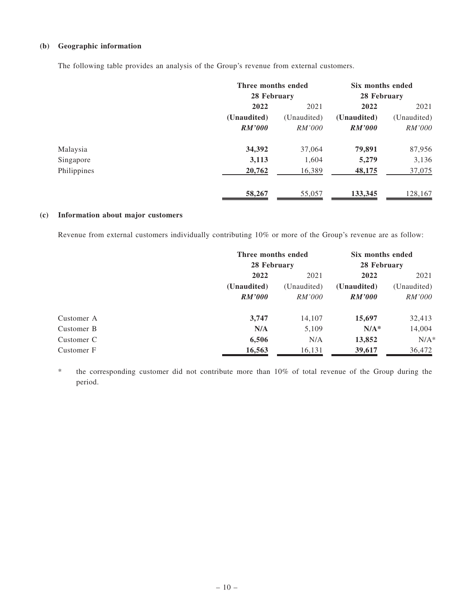#### (b) Geographic information

The following table provides an analysis of the Group's revenue from external customers.

|             | Three months ended |               | Six months ended |             |
|-------------|--------------------|---------------|------------------|-------------|
|             | 28 February        |               | 28 February      |             |
|             | 2022               | 2021          | 2022             | 2021        |
|             | (Unaudited)        | (Unaudited)   | (Unaudited)      | (Unaudited) |
|             | RM'000             | <i>RM'000</i> | <b>RM'000</b>    | RM'000      |
| Malaysia    | 34,392             | 37,064        | 79,891           | 87,956      |
| Singapore   | 3,113              | 1,604         | 5,279            | 3,136       |
| Philippines | 20,762             | 16,389        | 48,175           | 37,075      |
|             | 58,267             | 55,057        | 133,345          | 128,167     |

#### (c) Information about major customers

Revenue from external customers individually contributing 10% or more of the Group's revenue are as follow:

|            | Three months ended |               | Six months ended |               |
|------------|--------------------|---------------|------------------|---------------|
|            |                    | 28 February   |                  | 28 February   |
|            | 2022               | 2021<br>2022  | 2021             |               |
|            | (Unaudited)        | (Unaudited)   | (Unaudited)      | (Unaudited)   |
|            | RM'000             | <i>RM'000</i> | RM'000           | <i>RM'000</i> |
| Customer A | 3,747              | 14,107        | 15,697           | 32,413        |
| Customer B | N/A                | 5,109         | $N/A^*$          | 14,004        |
| Customer C | 6,506              | N/A           | 13,852           | $N/A^*$       |
| Customer F | 16,563             | 16,131        | 39,617           | 36,472        |

\* the corresponding customer did not contribute more than 10% of total revenue of the Group during the period.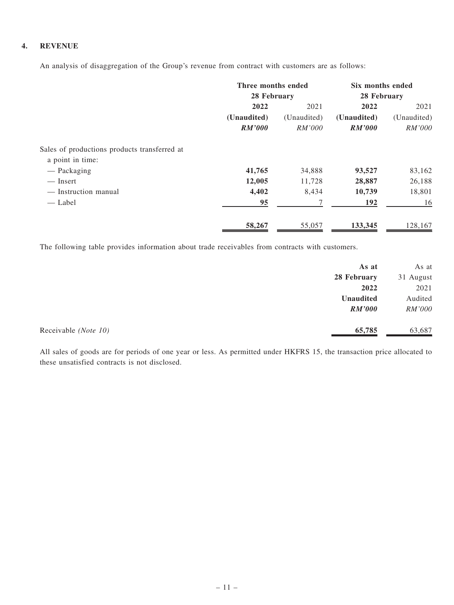#### 4. REVENUE

An analysis of disaggregation of the Group's revenue from contract with customers are as follows:

|                                              | Three months ended |               | Six months ended |               |
|----------------------------------------------|--------------------|---------------|------------------|---------------|
|                                              | 28 February        |               | 28 February      |               |
|                                              | 2022               | 2021          | 2022             | 2021          |
|                                              | (Unaudited)        | (Unaudited)   | (Unaudited)      | (Unaudited)   |
|                                              | RM'000             | <i>RM'000</i> | <b>RM'000</b>    | <i>RM'000</i> |
| Sales of productions products transferred at |                    |               |                  |               |
| a point in time:                             |                    |               |                  |               |
| — Packaging                                  | 41,765             | 34,888        | 93,527           | 83,162        |
| — Insert                                     | 12,005             | 11,728        | 28,887           | 26,188        |
| — Instruction manual                         | 4,402              | 8,434         | 10,739           | 18,801        |
| — Label                                      | 95                 | $\tau$        | 192              | 16            |
|                                              | 58,267             | 55,057        | 133,345          | 128,167       |

The following table provides information about trade receivables from contracts with customers.

|                      | As at            | As at     |
|----------------------|------------------|-----------|
|                      | 28 February      | 31 August |
|                      | 2022             | 2021      |
|                      | <b>Unaudited</b> | Audited   |
|                      | <i>RM'000</i>    | RM'000    |
| Receivable (Note 10) | 65,785           | 63,687    |

All sales of goods are for periods of one year or less. As permitted under HKFRS 15, the transaction price allocated to these unsatisfied contracts is not disclosed.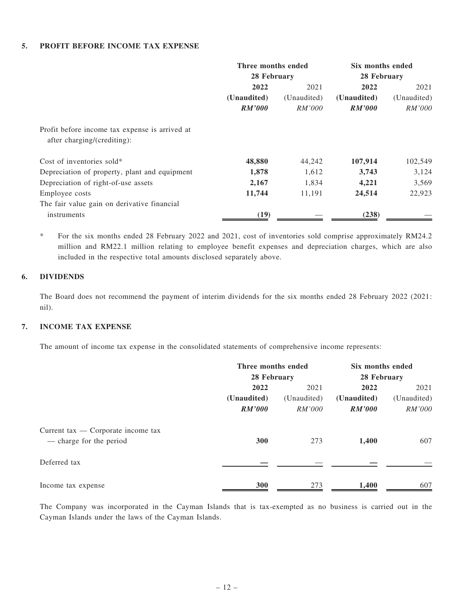#### 5. PROFIT BEFORE INCOME TAX EXPENSE

|                                                                               | Three months ended<br>28 February |               | Six months ended<br>28 February |               |
|-------------------------------------------------------------------------------|-----------------------------------|---------------|---------------------------------|---------------|
|                                                                               |                                   |               |                                 |               |
|                                                                               | 2022                              | 2021          | 2022                            | 2021          |
|                                                                               | (Unaudited)                       | (Unaudited)   | (Unaudited)                     | (Unaudited)   |
|                                                                               | RM'000                            | <i>RM'000</i> | RM'000                          | <i>RM'000</i> |
| Profit before income tax expense is arrived at<br>after charging/(crediting): |                                   |               |                                 |               |
| Cost of inventories sold*                                                     | 48,880                            | 44,242        | 107,914                         | 102,549       |
| Depreciation of property, plant and equipment                                 | 1,878                             | 1,612         | 3,743                           | 3,124         |
| Depreciation of right-of-use assets                                           | 2,167                             | 1,834         | 4,221                           | 3,569         |
| Employee costs                                                                | 11,744                            | 11,191        | 24,514                          | 22,923        |
| The fair value gain on derivative financial                                   |                                   |               |                                 |               |
| instruments                                                                   | (19)                              |               | (238)                           |               |

\* For the six months ended 28 February 2022 and 2021, cost of inventories sold comprise approximately RM24.2 million and RM22.1 million relating to employee benefit expenses and depreciation charges, which are also included in the respective total amounts disclosed separately above.

#### 6. DIVIDENDS

The Board does not recommend the payment of interim dividends for the six months ended 28 February 2022 (2021: nil).

#### 7. INCOME TAX EXPENSE

The amount of income tax expense in the consolidated statements of comprehensive income represents:

|                                                                 | Three months ended |               | Six months ended |               |  |
|-----------------------------------------------------------------|--------------------|---------------|------------------|---------------|--|
|                                                                 | 28 February        |               | 28 February      |               |  |
|                                                                 | 2022               | 2022<br>2021  |                  | 2021          |  |
|                                                                 | (Unaudited)        | (Unaudited)   | (Unaudited)      | (Unaudited)   |  |
|                                                                 | RM'000             | <i>RM'000</i> | RM'000           | <i>RM'000</i> |  |
| Current tax $-$ Corporate income tax<br>— charge for the period | 300                | 273           | 1,400            | 607           |  |
|                                                                 |                    |               |                  |               |  |
| Deferred tax                                                    |                    |               |                  |               |  |
| Income tax expense                                              | 300                | 273           | 1,400            | 607           |  |

The Company was incorporated in the Cayman Islands that is tax-exempted as no business is carried out in the Cayman Islands under the laws of the Cayman Islands.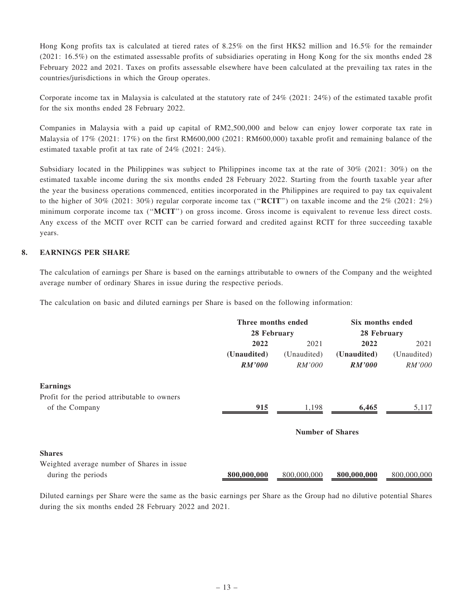Hong Kong profits tax is calculated at tiered rates of 8.25% on the first HK\$2 million and 16.5% for the remainder (2021: 16.5%) on the estimated assessable profits of subsidiaries operating in Hong Kong for the six months ended 28 February 2022 and 2021. Taxes on profits assessable elsewhere have been calculated at the prevailing tax rates in the countries/jurisdictions in which the Group operates.

Corporate income tax in Malaysia is calculated at the statutory rate of 24% (2021: 24%) of the estimated taxable profit for the six months ended 28 February 2022.

Companies in Malaysia with a paid up capital of RM2,500,000 and below can enjoy lower corporate tax rate in Malaysia of 17% (2021: 17%) on the first RM600,000 (2021: RM600,000) taxable profit and remaining balance of the estimated taxable profit at tax rate of 24% (2021: 24%).

Subsidiary located in the Philippines was subject to Philippines income tax at the rate of 30% (2021: 30%) on the estimated taxable income during the six months ended 28 February 2022. Starting from the fourth taxable year after the year the business operations commenced, entities incorporated in the Philippines are required to pay tax equivalent to the higher of 30% (2021: 30%) regular corporate income tax (''RCIT'') on taxable income and the 2% (2021: 2%) minimum corporate income tax ("MCIT") on gross income. Gross income is equivalent to revenue less direct costs. Any excess of the MCIT over RCIT can be carried forward and credited against RCIT for three succeeding taxable years.

#### 8. EARNINGS PER SHARE

The calculation of earnings per Share is based on the earnings attributable to owners of the Company and the weighted average number of ordinary Shares in issue during the respective periods.

The calculation on basic and diluted earnings per Share is based on the following information:

|                                              | Three months ended<br>28 February |                         | Six months ended<br>28 February |             |
|----------------------------------------------|-----------------------------------|-------------------------|---------------------------------|-------------|
|                                              |                                   |                         |                                 |             |
|                                              | 2022                              | 2022<br>2021            |                                 | 2021        |
|                                              | (Unaudited)                       | (Unaudited)             | (Unaudited)                     | (Unaudited) |
|                                              | <b>RM'000</b>                     | <i>RM'000</i>           | <b>RM'000</b>                   | RM'000      |
| <b>Earnings</b>                              |                                   |                         |                                 |             |
| Profit for the period attributable to owners |                                   |                         |                                 |             |
| of the Company                               | 915                               | 1,198                   | 6,465                           | 5,117       |
|                                              |                                   | <b>Number of Shares</b> |                                 |             |
| <b>Shares</b>                                |                                   |                         |                                 |             |
| Weighted average number of Shares in issue   |                                   |                         |                                 |             |
| during the periods                           | 800,000,000                       | 800,000,000             | 800,000,000                     | 800,000,000 |

Diluted earnings per Share were the same as the basic earnings per Share as the Group had no dilutive potential Shares during the six months ended 28 February 2022 and 2021.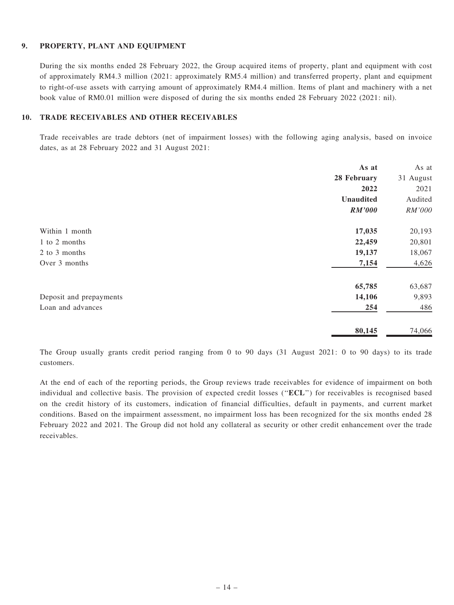#### 9. PROPERTY, PLANT AND EQUIPMENT

During the six months ended 28 February 2022, the Group acquired items of property, plant and equipment with cost of approximately RM4.3 million (2021: approximately RM5.4 million) and transferred property, plant and equipment to right-of-use assets with carrying amount of approximately RM4.4 million. Items of plant and machinery with a net book value of RM0.01 million were disposed of during the six months ended 28 February 2022 (2021: nil).

#### 10. TRADE RECEIVABLES AND OTHER RECEIVABLES

Trade receivables are trade debtors (net of impairment losses) with the following aging analysis, based on invoice dates, as at 28 February 2022 and 31 August 2021:

|                         | As at         | As at     |
|-------------------------|---------------|-----------|
|                         | 28 February   | 31 August |
|                         | 2022          | 2021      |
|                         | Unaudited     | Audited   |
|                         | <b>RM'000</b> | RM'000    |
| Within 1 month          | 17,035        | 20,193    |
| 1 to 2 months           | 22,459        | 20,801    |
| 2 to 3 months           | 19,137        | 18,067    |
| Over 3 months           | 7,154         | 4,626     |
|                         | 65,785        | 63,687    |
| Deposit and prepayments | 14,106        | 9,893     |
| Loan and advances       | 254           | 486       |
|                         | 80,145        | 74,066    |

The Group usually grants credit period ranging from 0 to 90 days (31 August 2021: 0 to 90 days) to its trade customers.

At the end of each of the reporting periods, the Group reviews trade receivables for evidence of impairment on both individual and collective basis. The provision of expected credit losses (''ECL'') for receivables is recognised based on the credit history of its customers, indication of financial difficulties, default in payments, and current market conditions. Based on the impairment assessment, no impairment loss has been recognized for the six months ended 28 February 2022 and 2021. The Group did not hold any collateral as security or other credit enhancement over the trade receivables.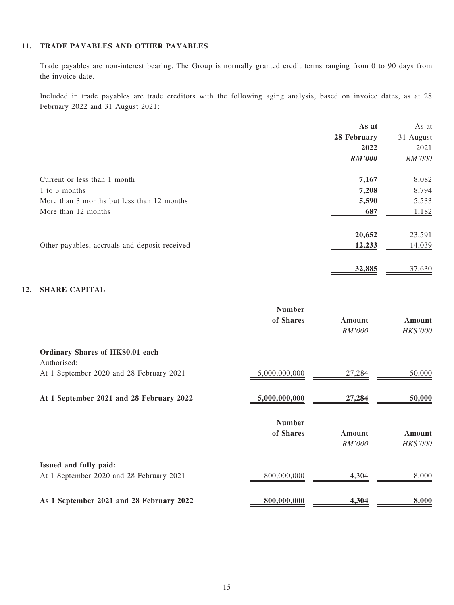#### 11. TRADE PAYABLES AND OTHER PAYABLES

Trade payables are non-interest bearing. The Group is normally granted credit terms ranging from 0 to 90 days from the invoice date.

Included in trade payables are trade creditors with the following aging analysis, based on invoice dates, as at 28 February 2022 and 31 August 2021:

|                                               | As at         | As at     |
|-----------------------------------------------|---------------|-----------|
|                                               | 28 February   | 31 August |
|                                               | 2022          | 2021      |
|                                               | <b>RM'000</b> | RM'000    |
| Current or less than 1 month                  | 7,167         | 8,082     |
| 1 to 3 months                                 | 7,208         | 8,794     |
| More than 3 months but less than 12 months    | 5,590         | 5,533     |
| More than 12 months                           | 687           | 1,182     |
|                                               | 20,652        | 23,591    |
| Other payables, accruals and deposit received | 12,233        | 14,039    |
|                                               | 32,885        | 37,630    |

#### 12. SHARE CAPITAL

|                                                 | <b>Number</b> |               |          |
|-------------------------------------------------|---------------|---------------|----------|
|                                                 | of Shares     | Amount        | Amount   |
|                                                 |               | <i>RM'000</i> | HK\$'000 |
| Ordinary Shares of HK\$0.01 each<br>Authorised: |               |               |          |
| At 1 September 2020 and 28 February 2021        | 5,000,000,000 | 27,284        | 50,000   |
| At 1 September 2021 and 28 February 2022        | 5,000,000,000 | 27,284        | 50,000   |
|                                                 | <b>Number</b> |               |          |
|                                                 | of Shares     | Amount        | Amount   |
|                                                 |               | <i>RM'000</i> | HK\$'000 |
| Issued and fully paid:                          |               |               |          |
| At 1 September 2020 and 28 February 2021        | 800,000,000   | 4,304         | 8,000    |
| As 1 September 2021 and 28 February 2022        | 800,000,000   | 4,304         | 8,000    |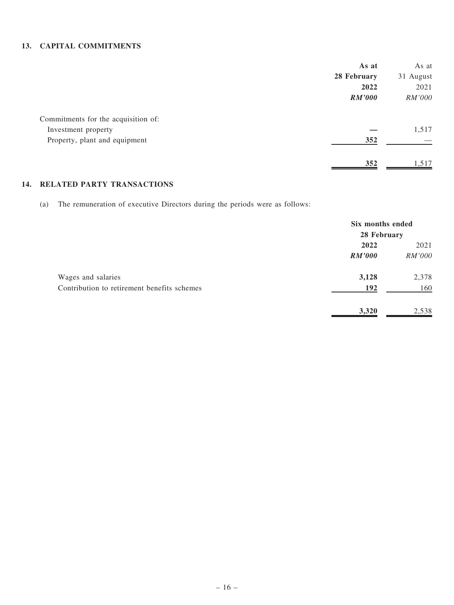#### 13. CAPITAL COMMITMENTS

|                                     | As at         | As at     |
|-------------------------------------|---------------|-----------|
|                                     | 28 February   | 31 August |
|                                     | 2022          | 2021      |
|                                     | <b>RM'000</b> | RM'000    |
| Commitments for the acquisition of: |               |           |
| Investment property                 |               | 1,517     |
| Property, plant and equipment       | 352           |           |
|                                     | 352           | .517      |

### 14. RELATED PARTY TRANSACTIONS

(a) The remuneration of executive Directors during the periods were as follows:

|                                             | Six months ended<br>28 February |        |
|---------------------------------------------|---------------------------------|--------|
|                                             | 2022                            | 2021   |
|                                             | RM'000                          | RM'000 |
| Wages and salaries                          | 3,128                           | 2,378  |
| Contribution to retirement benefits schemes | 192                             | 160    |
|                                             | 3,320                           | 2,538  |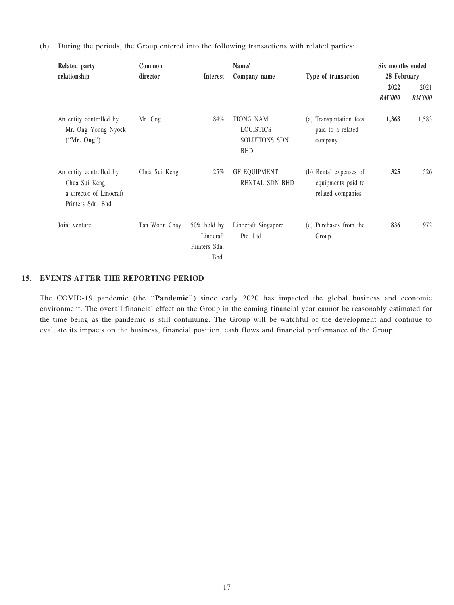(b) During the periods, the Group entered into the following transactions with related parties:

| Related party<br>relationship                                                             | Common<br>director | <b>Interest</b>                                      | Name/<br>Company name                                        | Type of transaction                                               | Six months ended<br>28 February |                |
|-------------------------------------------------------------------------------------------|--------------------|------------------------------------------------------|--------------------------------------------------------------|-------------------------------------------------------------------|---------------------------------|----------------|
|                                                                                           |                    |                                                      |                                                              |                                                                   | 2022<br><b>RM'000</b>           | 2021<br>RM'000 |
| An entity controlled by<br>Mr. Ong Yoong Nyock<br>("Mr. Ong")                             | Mr. Ong            | 84%                                                  | <b>TIONG NAM</b><br>LOGISTICS<br>SOLUTIONS SDN<br><b>BHD</b> | (a) Transportation fees<br>paid to a related<br>company           | 1,368                           | 1,583          |
| An entity controlled by<br>Chua Sui Keng,<br>a director of Linocraft<br>Printers Sdn. Bhd | Chua Sui Keng      | 25%                                                  | <b>GF EQUIPMENT</b><br><b>RENTAL SDN BHD</b>                 | (b) Rental expenses of<br>equipments paid to<br>related companies | 325                             | 526            |
| Joint venture                                                                             | Tan Woon Chay      | $50\%$ hold by<br>Linocraft<br>Printers Sdn.<br>Bhd. | Linocraft Singapore<br>Pte. Ltd.                             | (c) Purchases from the<br>Group                                   | 836                             | 972            |

#### 15. EVENTS AFTER THE REPORTING PERIOD

The COVID-19 pandemic (the "Pandemic") since early 2020 has impacted the global business and economic environment. The overall financial effect on the Group in the coming financial year cannot be reasonably estimated for the time being as the pandemic is still continuing. The Group will be watchful of the development and continue to evaluate its impacts on the business, financial position, cash flows and financial performance of the Group.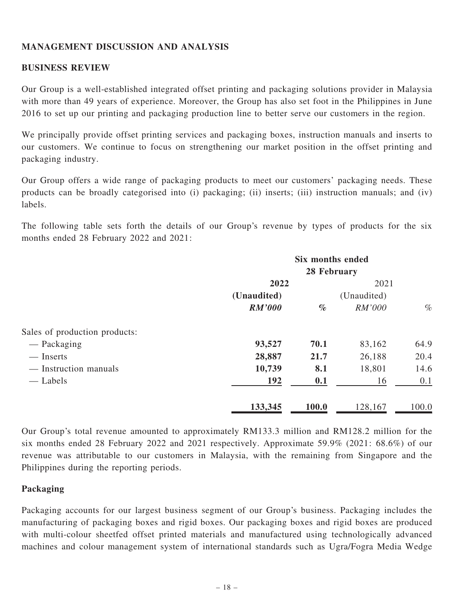### MANAGEMENT DISCUSSION AND ANALYSIS

### BUSINESS REVIEW

Our Group is a well-established integrated offset printing and packaging solutions provider in Malaysia with more than 49 years of experience. Moreover, the Group has also set foot in the Philippines in June 2016 to set up our printing and packaging production line to better serve our customers in the region.

We principally provide offset printing services and packaging boxes, instruction manuals and inserts to our customers. We continue to focus on strengthening our market position in the offset printing and packaging industry.

Our Group offers a wide range of packaging products to meet our customers' packaging needs. These products can be broadly categorised into (i) packaging; (ii) inserts; (iii) instruction manuals; and (iv) labels.

The following table sets forth the details of our Group's revenue by types of products for the six months ended 28 February 2022 and 2021:

|                               | Six months ended |       |             |       |  |
|-------------------------------|------------------|-------|-------------|-------|--|
|                               | 28 February      |       |             |       |  |
|                               | 2022             |       | 2021        |       |  |
|                               | (Unaudited)      |       | (Unaudited) |       |  |
|                               | <b>RM'000</b>    | $\%$  | RM'000      | $\%$  |  |
| Sales of production products: |                  |       |             |       |  |
| — Packaging                   | 93,527           | 70.1  | 83,162      | 64.9  |  |
| — Inserts                     | 28,887           | 21.7  | 26,188      | 20.4  |  |
| — Instruction manuals         | 10,739           | 8.1   | 18,801      | 14.6  |  |
| — Labels                      | 192              | 0.1   | 16          | 0.1   |  |
|                               | 133,345          | 100.0 | 128,167     | 100.0 |  |

Our Group's total revenue amounted to approximately RM133.3 million and RM128.2 million for the six months ended 28 February 2022 and 2021 respectively. Approximate 59.9% (2021: 68.6%) of our revenue was attributable to our customers in Malaysia, with the remaining from Singapore and the Philippines during the reporting periods.

### Packaging

Packaging accounts for our largest business segment of our Group's business. Packaging includes the manufacturing of packaging boxes and rigid boxes. Our packaging boxes and rigid boxes are produced with multi-colour sheetfed offset printed materials and manufactured using technologically advanced machines and colour management system of international standards such as Ugra/Fogra Media Wedge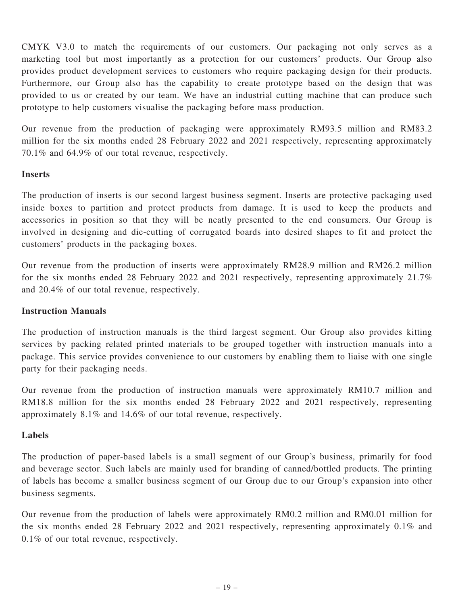CMYK V3.0 to match the requirements of our customers. Our packaging not only serves as a marketing tool but most importantly as a protection for our customers' products. Our Group also provides product development services to customers who require packaging design for their products. Furthermore, our Group also has the capability to create prototype based on the design that was provided to us or created by our team. We have an industrial cutting machine that can produce such prototype to help customers visualise the packaging before mass production.

Our revenue from the production of packaging were approximately RM93.5 million and RM83.2 million for the six months ended 28 February 2022 and 2021 respectively, representing approximately 70.1% and 64.9% of our total revenue, respectively.

### **Inserts**

The production of inserts is our second largest business segment. Inserts are protective packaging used inside boxes to partition and protect products from damage. It is used to keep the products and accessories in position so that they will be neatly presented to the end consumers. Our Group is involved in designing and die-cutting of corrugated boards into desired shapes to fit and protect the customers' products in the packaging boxes.

Our revenue from the production of inserts were approximately RM28.9 million and RM26.2 million for the six months ended 28 February 2022 and 2021 respectively, representing approximately 21.7% and 20.4% of our total revenue, respectively.

#### Instruction Manuals

The production of instruction manuals is the third largest segment. Our Group also provides kitting services by packing related printed materials to be grouped together with instruction manuals into a package. This service provides convenience to our customers by enabling them to liaise with one single party for their packaging needs.

Our revenue from the production of instruction manuals were approximately RM10.7 million and RM18.8 million for the six months ended 28 February 2022 and 2021 respectively, representing approximately 8.1% and 14.6% of our total revenue, respectively.

### Labels

The production of paper-based labels is a small segment of our Group's business, primarily for food and beverage sector. Such labels are mainly used for branding of canned/bottled products. The printing of labels has become a smaller business segment of our Group due to our Group's expansion into other business segments.

Our revenue from the production of labels were approximately RM0.2 million and RM0.01 million for the six months ended 28 February 2022 and 2021 respectively, representing approximately 0.1% and 0.1% of our total revenue, respectively.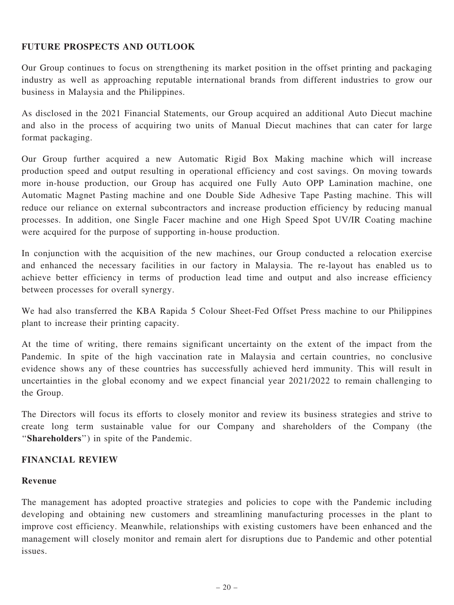### FUTURE PROSPECTS AND OUTLOOK

Our Group continues to focus on strengthening its market position in the offset printing and packaging industry as well as approaching reputable international brands from different industries to grow our business in Malaysia and the Philippines.

As disclosed in the 2021 Financial Statements, our Group acquired an additional Auto Diecut machine and also in the process of acquiring two units of Manual Diecut machines that can cater for large format packaging.

Our Group further acquired a new Automatic Rigid Box Making machine which will increase production speed and output resulting in operational efficiency and cost savings. On moving towards more in-house production, our Group has acquired one Fully Auto OPP Lamination machine, one Automatic Magnet Pasting machine and one Double Side Adhesive Tape Pasting machine. This will reduce our reliance on external subcontractors and increase production efficiency by reducing manual processes. In addition, one Single Facer machine and one High Speed Spot UV/IR Coating machine were acquired for the purpose of supporting in-house production.

In conjunction with the acquisition of the new machines, our Group conducted a relocation exercise and enhanced the necessary facilities in our factory in Malaysia. The re-layout has enabled us to achieve better efficiency in terms of production lead time and output and also increase efficiency between processes for overall synergy.

We had also transferred the KBA Rapida 5 Colour Sheet-Fed Offset Press machine to our Philippines plant to increase their printing capacity.

At the time of writing, there remains significant uncertainty on the extent of the impact from the Pandemic. In spite of the high vaccination rate in Malaysia and certain countries, no conclusive evidence shows any of these countries has successfully achieved herd immunity. This will result in uncertainties in the global economy and we expect financial year 2021/2022 to remain challenging to the Group.

The Directors will focus its efforts to closely monitor and review its business strategies and strive to create long term sustainable value for our Company and shareholders of the Company (the ''Shareholders'') in spite of the Pandemic.

### FINANCIAL REVIEW

#### Revenue

The management has adopted proactive strategies and policies to cope with the Pandemic including developing and obtaining new customers and streamlining manufacturing processes in the plant to improve cost efficiency. Meanwhile, relationships with existing customers have been enhanced and the management will closely monitor and remain alert for disruptions due to Pandemic and other potential issues.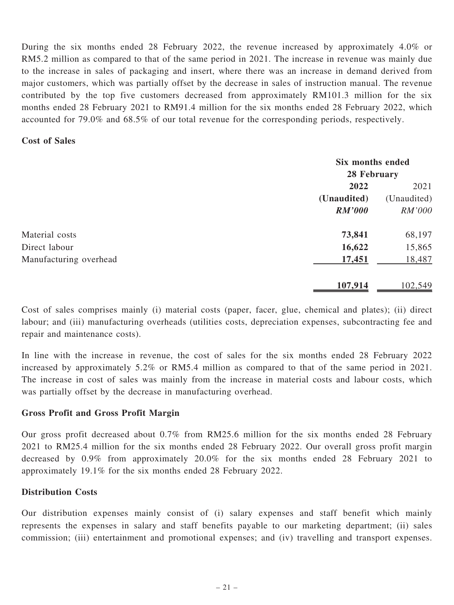During the six months ended 28 February 2022, the revenue increased by approximately 4.0% or RM5.2 million as compared to that of the same period in 2021. The increase in revenue was mainly due to the increase in sales of packaging and insert, where there was an increase in demand derived from major customers, which was partially offset by the decrease in sales of instruction manual. The revenue contributed by the top five customers decreased from approximately RM101.3 million for the six months ended 28 February 2021 to RM91.4 million for the six months ended 28 February 2022, which accounted for 79.0% and 68.5% of our total revenue for the corresponding periods, respectively.

#### Cost of Sales

|                        | Six months ended |             |  |
|------------------------|------------------|-------------|--|
|                        | 28 February      |             |  |
|                        | 2022             | 2021        |  |
|                        | (Unaudited)      | (Unaudited) |  |
|                        | <b>RM'000</b>    | RM'000      |  |
| Material costs         | 73,841           | 68,197      |  |
| Direct labour          | 16,622           | 15,865      |  |
| Manufacturing overhead | 17,451           | 18,487      |  |
|                        | 107,914          | 102,549     |  |

Cost of sales comprises mainly (i) material costs (paper, facer, glue, chemical and plates); (ii) direct labour; and (iii) manufacturing overheads (utilities costs, depreciation expenses, subcontracting fee and repair and maintenance costs).

In line with the increase in revenue, the cost of sales for the six months ended 28 February 2022 increased by approximately 5.2% or RM5.4 million as compared to that of the same period in 2021. The increase in cost of sales was mainly from the increase in material costs and labour costs, which was partially offset by the decrease in manufacturing overhead.

#### Gross Profit and Gross Profit Margin

Our gross profit decreased about 0.7% from RM25.6 million for the six months ended 28 February 2021 to RM25.4 million for the six months ended 28 February 2022. Our overall gross profit margin decreased by 0.9% from approximately 20.0% for the six months ended 28 February 2021 to approximately 19.1% for the six months ended 28 February 2022.

#### Distribution Costs

Our distribution expenses mainly consist of (i) salary expenses and staff benefit which mainly represents the expenses in salary and staff benefits payable to our marketing department; (ii) sales commission; (iii) entertainment and promotional expenses; and (iv) travelling and transport expenses.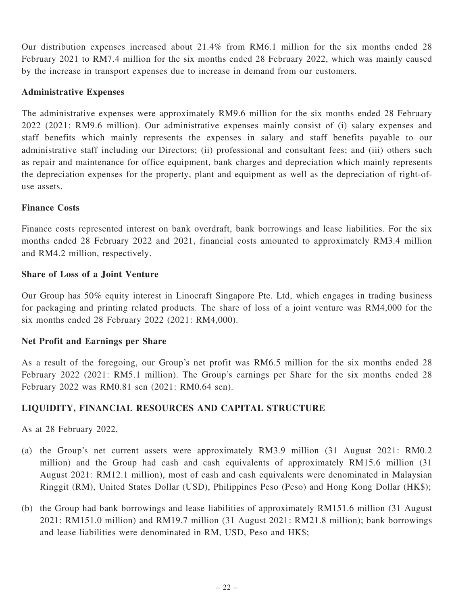Our distribution expenses increased about 21.4% from RM6.1 million for the six months ended 28 February 2021 to RM7.4 million for the six months ended 28 February 2022, which was mainly caused by the increase in transport expenses due to increase in demand from our customers.

### Administrative Expenses

The administrative expenses were approximately RM9.6 million for the six months ended 28 February 2022 (2021: RM9.6 million). Our administrative expenses mainly consist of (i) salary expenses and staff benefits which mainly represents the expenses in salary and staff benefits payable to our administrative staff including our Directors; (ii) professional and consultant fees; and (iii) others such as repair and maintenance for office equipment, bank charges and depreciation which mainly represents the depreciation expenses for the property, plant and equipment as well as the depreciation of right-ofuse assets.

### Finance Costs

Finance costs represented interest on bank overdraft, bank borrowings and lease liabilities. For the six months ended 28 February 2022 and 2021, financial costs amounted to approximately RM3.4 million and RM4.2 million, respectively.

### Share of Loss of a Joint Venture

Our Group has 50% equity interest in Linocraft Singapore Pte. Ltd, which engages in trading business for packaging and printing related products. The share of loss of a joint venture was RM4,000 for the six months ended 28 February 2022 (2021: RM4,000).

### Net Profit and Earnings per Share

As a result of the foregoing, our Group's net profit was RM6.5 million for the six months ended 28 February 2022 (2021: RM5.1 million). The Group's earnings per Share for the six months ended 28 February 2022 was RM0.81 sen (2021: RM0.64 sen).

### LIQUIDITY, FINANCIAL RESOURCES AND CAPITAL STRUCTURE

As at 28 February 2022,

- (a) the Group's net current assets were approximately RM3.9 million (31 August 2021: RM0.2 million) and the Group had cash and cash equivalents of approximately RM15.6 million (31 August 2021: RM12.1 million), most of cash and cash equivalents were denominated in Malaysian Ringgit (RM), United States Dollar (USD), Philippines Peso (Peso) and Hong Kong Dollar (HK\$);
- (b) the Group had bank borrowings and lease liabilities of approximately RM151.6 million (31 August 2021: RM151.0 million) and RM19.7 million (31 August 2021: RM21.8 million); bank borrowings and lease liabilities were denominated in RM, USD, Peso and HK\$;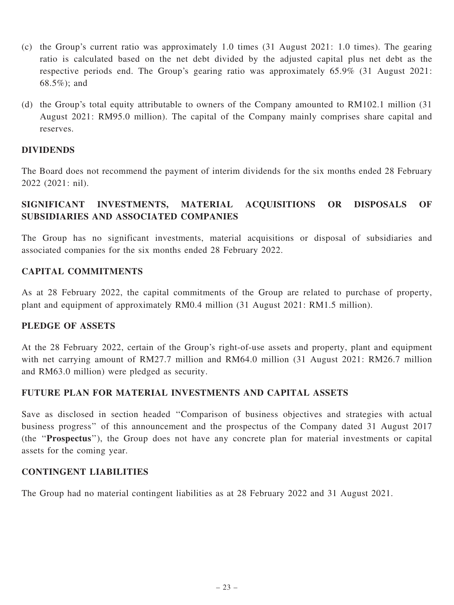- (c) the Group's current ratio was approximately 1.0 times (31 August 2021: 1.0 times). The gearing ratio is calculated based on the net debt divided by the adjusted capital plus net debt as the respective periods end. The Group's gearing ratio was approximately 65.9% (31 August 2021: 68.5%); and
- (d) the Group's total equity attributable to owners of the Company amounted to RM102.1 million (31 August 2021: RM95.0 million). The capital of the Company mainly comprises share capital and reserves.

### DIVIDENDS

The Board does not recommend the payment of interim dividends for the six months ended 28 February 2022 (2021: nil).

# SIGNIFICANT INVESTMENTS, MATERIAL ACQUISITIONS OR DISPOSALS OF SUBSIDIARIES AND ASSOCIATED COMPANIES

The Group has no significant investments, material acquisitions or disposal of subsidiaries and associated companies for the six months ended 28 February 2022.

### CAPITAL COMMITMENTS

As at 28 February 2022, the capital commitments of the Group are related to purchase of property, plant and equipment of approximately RM0.4 million (31 August 2021: RM1.5 million).

#### PLEDGE OF ASSETS

At the 28 February 2022, certain of the Group's right-of-use assets and property, plant and equipment with net carrying amount of RM27.7 million and RM64.0 million (31 August 2021: RM26.7 million and RM63.0 million) were pledged as security.

### FUTURE PLAN FOR MATERIAL INVESTMENTS AND CAPITAL ASSETS

Save as disclosed in section headed ''Comparison of business objectives and strategies with actual business progress'' of this announcement and the prospectus of the Company dated 31 August 2017 (the ''Prospectus''), the Group does not have any concrete plan for material investments or capital assets for the coming year.

#### CONTINGENT LIABILITIES

The Group had no material contingent liabilities as at 28 February 2022 and 31 August 2021.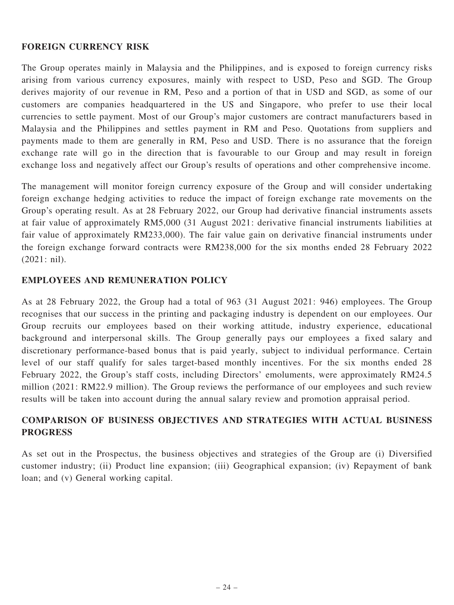### FOREIGN CURRENCY RISK

The Group operates mainly in Malaysia and the Philippines, and is exposed to foreign currency risks arising from various currency exposures, mainly with respect to USD, Peso and SGD. The Group derives majority of our revenue in RM, Peso and a portion of that in USD and SGD, as some of our customers are companies headquartered in the US and Singapore, who prefer to use their local currencies to settle payment. Most of our Group's major customers are contract manufacturers based in Malaysia and the Philippines and settles payment in RM and Peso. Quotations from suppliers and payments made to them are generally in RM, Peso and USD. There is no assurance that the foreign exchange rate will go in the direction that is favourable to our Group and may result in foreign exchange loss and negatively affect our Group's results of operations and other comprehensive income.

The management will monitor foreign currency exposure of the Group and will consider undertaking foreign exchange hedging activities to reduce the impact of foreign exchange rate movements on the Group's operating result. As at 28 February 2022, our Group had derivative financial instruments assets at fair value of approximately RM5,000 (31 August 2021: derivative financial instruments liabilities at fair value of approximately RM233,000). The fair value gain on derivative financial instruments under the foreign exchange forward contracts were RM238,000 for the six months ended 28 February 2022 (2021: nil).

### EMPLOYEES AND REMUNERATION POLICY

As at 28 February 2022, the Group had a total of 963 (31 August 2021: 946) employees. The Group recognises that our success in the printing and packaging industry is dependent on our employees. Our Group recruits our employees based on their working attitude, industry experience, educational background and interpersonal skills. The Group generally pays our employees a fixed salary and discretionary performance-based bonus that is paid yearly, subject to individual performance. Certain level of our staff qualify for sales target-based monthly incentives. For the six months ended 28 February 2022, the Group's staff costs, including Directors' emoluments, were approximately RM24.5 million (2021: RM22.9 million). The Group reviews the performance of our employees and such review results will be taken into account during the annual salary review and promotion appraisal period.

# COMPARISON OF BUSINESS OBJECTIVES AND STRATEGIES WITH ACTUAL BUSINESS PROGRESS

As set out in the Prospectus, the business objectives and strategies of the Group are (i) Diversified customer industry; (ii) Product line expansion; (iii) Geographical expansion; (iv) Repayment of bank loan; and (v) General working capital.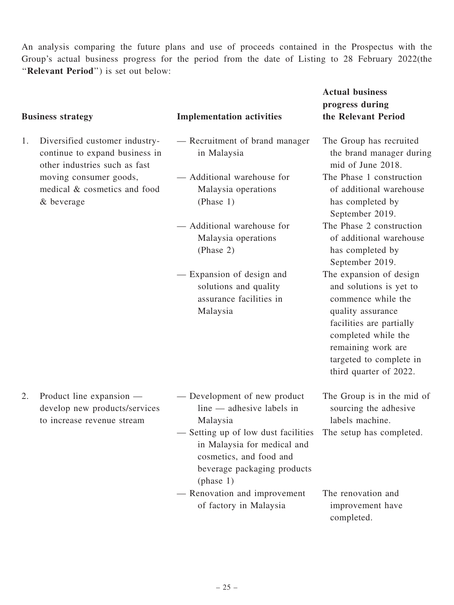An analysis comparing the future plans and use of proceeds contained in the Prospectus with the Group's actual business progress for the period from the date of Listing to 28 February 2022(the ''Relevant Period'') is set out below:

|    | <b>Business strategy</b>                                                                          | <b>Implementation activities</b>                                                                                                                                                                                                            | <b>Actual business</b><br>progress during<br>the Relevant Period                                                                                                                                                            |
|----|---------------------------------------------------------------------------------------------------|---------------------------------------------------------------------------------------------------------------------------------------------------------------------------------------------------------------------------------------------|-----------------------------------------------------------------------------------------------------------------------------------------------------------------------------------------------------------------------------|
| 1. | Diversified customer industry-<br>continue to expand business in<br>other industries such as fast | - Recruitment of brand manager<br>in Malaysia                                                                                                                                                                                               | The Group has recruited<br>the brand manager during<br>mid of June 2018.                                                                                                                                                    |
|    | moving consumer goods,<br>medical & cosmetics and food<br>& beverage                              | - Additional warehouse for<br>Malaysia operations<br>(Phase 1)                                                                                                                                                                              | The Phase 1 construction<br>of additional warehouse<br>has completed by<br>September 2019.                                                                                                                                  |
|    |                                                                                                   | — Additional warehouse for<br>Malaysia operations<br>(Phase 2)                                                                                                                                                                              | The Phase 2 construction<br>of additional warehouse<br>has completed by<br>September 2019.                                                                                                                                  |
|    |                                                                                                   | - Expansion of design and<br>solutions and quality<br>assurance facilities in<br>Malaysia                                                                                                                                                   | The expansion of design<br>and solutions is yet to<br>commence while the<br>quality assurance<br>facilities are partially<br>completed while the<br>remaining work are<br>targeted to complete in<br>third quarter of 2022. |
| 2. | Product line expansion —<br>develop new products/services<br>to increase revenue stream           | — Development of new product<br>line — adhesive labels in<br>Malaysia<br>- Setting up of low dust facilities The setup has completed.<br>in Malaysia for medical and<br>cosmetics, and food and<br>beverage packaging products<br>(phase 1) | The Group is in the mid of<br>sourcing the adhesive<br>labels machine.                                                                                                                                                      |
|    |                                                                                                   | - Renovation and improvement<br>of factory in Malaysia                                                                                                                                                                                      | The renovation and<br>improvement have<br>completed.                                                                                                                                                                        |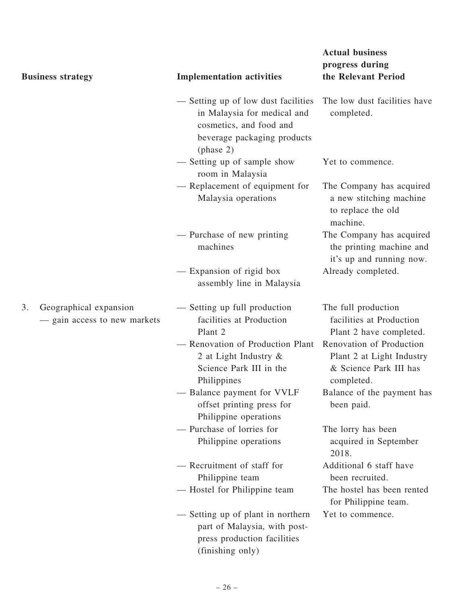| <b>Business strategy</b>                                     | <b>Implementation activities</b>                                                                                                          | <b>Actual business</b><br>progress during<br>the Relevant Period                              |
|--------------------------------------------------------------|-------------------------------------------------------------------------------------------------------------------------------------------|-----------------------------------------------------------------------------------------------|
|                                                              | - Setting up of low dust facilities<br>in Malaysia for medical and<br>cosmetics, and food and<br>beverage packaging products<br>(phase 2) | The low dust facilities have<br>completed.                                                    |
|                                                              | - Setting up of sample show<br>room in Malaysia                                                                                           | Yet to commence.                                                                              |
|                                                              | - Replacement of equipment for<br>Malaysia operations                                                                                     | The Company has acquired<br>a new stitching machine<br>to replace the old<br>machine.         |
|                                                              | - Purchase of new printing<br>machines                                                                                                    | The Company has acquired<br>the printing machine and<br>it's up and running now.              |
|                                                              | — Expansion of rigid box<br>assembly line in Malaysia                                                                                     | Already completed.                                                                            |
| Geographical expansion<br>3.<br>- gain access to new markets | - Setting up full production<br>facilities at Production<br>Plant 2                                                                       | The full production<br>facilities at Production<br>Plant 2 have completed.                    |
|                                                              | - Renovation of Production Plant<br>2 at Light Industry $\&$<br>Science Park III in the<br>Philippines                                    | Renovation of Production<br>Plant 2 at Light Industry<br>& Science Park III has<br>completed. |
|                                                              | - Balance payment for VVLF<br>offset printing press for<br>Philippine operations                                                          | Balance of the payment has<br>been paid.                                                      |
|                                                              | - Purchase of lorries for<br>Philippine operations                                                                                        | The lorry has been<br>acquired in September<br>2018.                                          |
|                                                              | - Recruitment of staff for<br>Philippine team                                                                                             | Additional 6 staff have<br>been recruited.                                                    |
|                                                              | — Hostel for Philippine team                                                                                                              | The hostel has been rented<br>for Philippine team.                                            |
|                                                              | - Setting up of plant in northern<br>part of Malaysia, with post-<br>press production facilities<br>(finishing only)                      | Yet to commence.                                                                              |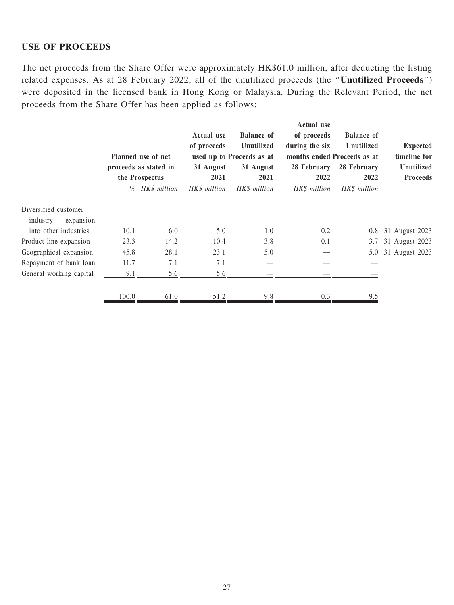#### USE OF PROCEEDS

The net proceeds from the Share Offer were approximately HK\$61.0 million, after deducting the listing related expenses. As at 28 February 2022, all of the unutilized proceeds (the ''Unutilized Proceeds'') were deposited in the licensed bank in Hong Kong or Malaysia. During the Relevant Period, the net proceeds from the Share Offer has been applied as follows:

|                                                |                                         | Planned use of net | <b>Actual use</b><br>of proceeds | <b>Balance of</b><br><b>Unutilized</b><br>used up to Proceeds as at | <b>Actual use</b><br>of proceeds<br>during the six<br>months ended Proceeds as at | <b>Balance</b> of<br>Unutilized | <b>Expected</b><br>timeline for |
|------------------------------------------------|-----------------------------------------|--------------------|----------------------------------|---------------------------------------------------------------------|-----------------------------------------------------------------------------------|---------------------------------|---------------------------------|
|                                                | proceeds as stated in<br>the Prospectus |                    | 31 August<br>2021                | 31 August<br>2021                                                   | 28 February<br>2022                                                               | 28 February<br>2022             | Unutilized<br><b>Proceeds</b>   |
|                                                |                                         | % HK\$ million     | HK\$ million                     | HK\$ million                                                        | HK\$ million                                                                      | HK\$ million                    |                                 |
| Diversified customer<br>$industry$ - expansion |                                         |                    |                                  |                                                                     |                                                                                   |                                 |                                 |
| into other industries                          | 10.1                                    | 6.0                | 5.0                              | 1.0                                                                 | 0.2                                                                               | 0.8                             | 31 August 2023                  |
| Product line expansion                         | 23.3                                    | 14.2               | 10.4                             | 3.8                                                                 | 0.1                                                                               | 3.7                             | 31 August 2023                  |
| Geographical expansion                         | 45.8                                    | 28.1               | 23.1                             | 5.0                                                                 |                                                                                   | 5.0                             | 31 August 2023                  |
| Repayment of bank loan                         | 11.7                                    | 7.1                | 7.1                              |                                                                     |                                                                                   |                                 |                                 |
| General working capital                        | 9.1                                     | 5.6                | 5.6                              |                                                                     |                                                                                   |                                 |                                 |
|                                                | 100.0                                   | 61.0               | 51.2                             | 9.8                                                                 | 0.3                                                                               | 9.5                             |                                 |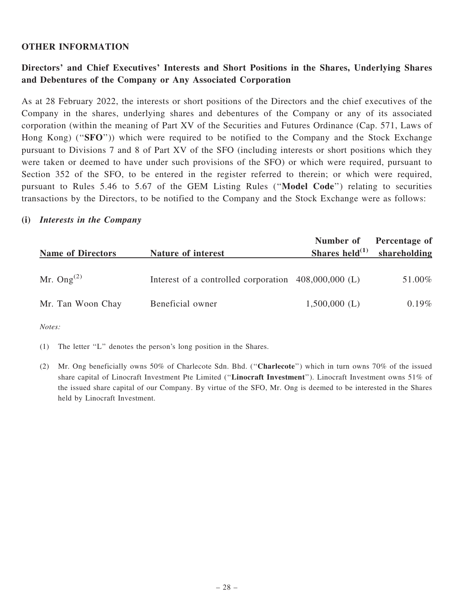#### OTHER INFORMATION

### Directors' and Chief Executives' Interests and Short Positions in the Shares, Underlying Shares and Debentures of the Company or Any Associated Corporation

As at 28 February 2022, the interests or short positions of the Directors and the chief executives of the Company in the shares, underlying shares and debentures of the Company or any of its associated corporation (within the meaning of Part XV of the Securities and Futures Ordinance (Cap. 571, Laws of Hong Kong) ("SFO")) which were required to be notified to the Company and the Stock Exchange pursuant to Divisions 7 and 8 of Part XV of the SFO (including interests or short positions which they were taken or deemed to have under such provisions of the SFO) or which were required, pursuant to Section 352 of the SFO, to be entered in the register referred to therein; or which were required, pursuant to Rules 5.46 to 5.67 of the GEM Listing Rules (''Model Code'') relating to securities transactions by the Directors, to be notified to the Company and the Stock Exchange were as follows:

#### (i) Interests in the Company

| <b>Name of Directors</b> | Nature of interest                                   | Number of<br>Shares held $^{(1)}$ | Percentage of<br>shareholding |
|--------------------------|------------------------------------------------------|-----------------------------------|-------------------------------|
| Mr. Ong <sup>(2)</sup>   | Interest of a controlled corporation 408,000,000 (L) |                                   | 51.00%                        |
| Mr. Tan Woon Chay        | Beneficial owner                                     | $1,500,000$ (L)                   | $0.19\%$                      |

Notes:

(1) The letter ''L'' denotes the person's long position in the Shares.

(2) Mr. Ong beneficially owns 50% of Charlecote Sdn. Bhd. (''Charlecote'') which in turn owns 70% of the issued share capital of Linocraft Investment Pte Limited (''Linocraft Investment''). Linocraft Investment owns 51% of the issued share capital of our Company. By virtue of the SFO, Mr. Ong is deemed to be interested in the Shares held by Linocraft Investment.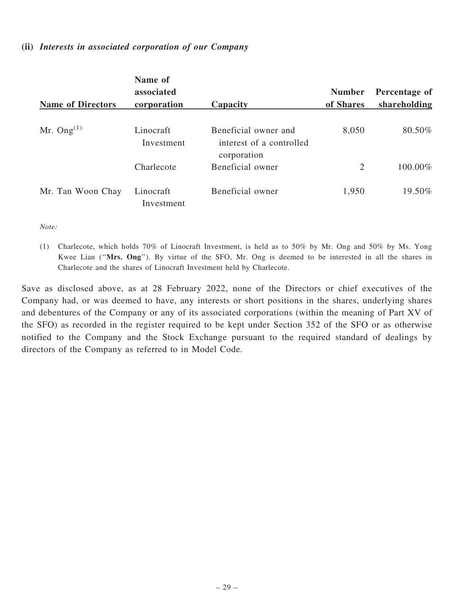#### (ii) Interests in associated corporation of our Company

|                          | Name of<br>associated   |                                                                 | <b>Number</b> | Percentage of |
|--------------------------|-------------------------|-----------------------------------------------------------------|---------------|---------------|
| <b>Name of Directors</b> | corporation             | Capacity                                                        | of Shares     | shareholding  |
| Mr. Ong $^{(1)}$         | Linocraft<br>Investment | Beneficial owner and<br>interest of a controlled<br>corporation | 8,050         | 80.50%        |
|                          | Charlecote              | Beneficial owner                                                | 2             | 100.00%       |
| Mr. Tan Woon Chay        | Linocraft<br>Investment | Beneficial owner                                                | 1,950         | 19.50%        |

Note:

(1) Charlecote, which holds 70% of Linocraft Investment, is held as to 50% by Mr. Ong and 50% by Ms. Yong Kwee Lian ("Mrs. Ong"). By virtue of the SFO, Mr. Ong is deemed to be interested in all the shares in Charlecote and the shares of Linocraft Investment held by Charlecote.

Save as disclosed above, as at 28 February 2022, none of the Directors or chief executives of the Company had, or was deemed to have, any interests or short positions in the shares, underlying shares and debentures of the Company or any of its associated corporations (within the meaning of Part XV of the SFO) as recorded in the register required to be kept under Section 352 of the SFO or as otherwise notified to the Company and the Stock Exchange pursuant to the required standard of dealings by directors of the Company as referred to in Model Code.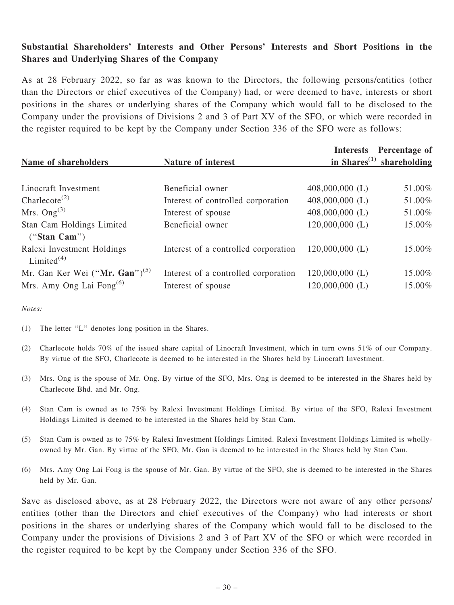# Substantial Shareholders' Interests and Other Persons' Interests and Short Positions in the Shares and Underlying Shares of the Company

As at 28 February 2022, so far as was known to the Directors, the following persons/entities (other than the Directors or chief executives of the Company) had, or were deemed to have, interests or short positions in the shares or underlying shares of the Company which would fall to be disclosed to the Company under the provisions of Divisions 2 and 3 of Part XV of the SFO, or which were recorded in the register required to be kept by the Company under Section 336 of the SFO were as follows:

|                                                                   |                                      |                                                    | Interests Percentage of |  |
|-------------------------------------------------------------------|--------------------------------------|----------------------------------------------------|-------------------------|--|
| Name of shareholders                                              | Nature of interest                   | in Shares <sup><math>(1)</math></sup> shareholding |                         |  |
|                                                                   |                                      |                                                    |                         |  |
| Linocraft Investment                                              | Beneficial owner                     | $408,000,000$ (L)                                  | 51.00%                  |  |
| Charlecote <sup><math>(2)</math></sup>                            | Interest of controlled corporation   | $408,000,000$ (L)                                  | 51.00%                  |  |
| Mrs. $Ong^{(3)}$                                                  | Interest of spouse                   | $408,000,000$ (L)                                  | 51.00%                  |  |
| Stan Cam Holdings Limited                                         | Beneficial owner                     | $120,000,000$ (L)                                  | 15.00%                  |  |
| ("Stan Cam")                                                      |                                      |                                                    |                         |  |
| Ralexi Investment Holdings<br>Limited <sup><math>(4)</math></sup> | Interest of a controlled corporation | $120,000,000$ (L)                                  | 15.00%                  |  |
| Mr. Gan Ker Wei ("Mr. Gan") <sup>(5)</sup>                        | Interest of a controlled corporation | $120,000,000$ (L)                                  | 15.00%                  |  |
| Mrs. Amy Ong Lai Fong $^{(6)}$                                    | Interest of spouse                   | $120,000,000$ (L)                                  | 15.00%                  |  |

Notes:

- (1) The letter ''L'' denotes long position in the Shares.
- (2) Charlecote holds 70% of the issued share capital of Linocraft Investment, which in turn owns 51% of our Company. By virtue of the SFO, Charlecote is deemed to be interested in the Shares held by Linocraft Investment.
- (3) Mrs. Ong is the spouse of Mr. Ong. By virtue of the SFO, Mrs. Ong is deemed to be interested in the Shares held by Charlecote Bhd. and Mr. Ong.
- (4) Stan Cam is owned as to 75% by Ralexi Investment Holdings Limited. By virtue of the SFO, Ralexi Investment Holdings Limited is deemed to be interested in the Shares held by Stan Cam.
- (5) Stan Cam is owned as to 75% by Ralexi Investment Holdings Limited. Ralexi Investment Holdings Limited is whollyowned by Mr. Gan. By virtue of the SFO, Mr. Gan is deemed to be interested in the Shares held by Stan Cam.
- (6) Mrs. Amy Ong Lai Fong is the spouse of Mr. Gan. By virtue of the SFO, she is deemed to be interested in the Shares held by Mr. Gan.

Save as disclosed above, as at 28 February 2022, the Directors were not aware of any other persons/ entities (other than the Directors and chief executives of the Company) who had interests or short positions in the shares or underlying shares of the Company which would fall to be disclosed to the Company under the provisions of Divisions 2 and 3 of Part XV of the SFO or which were recorded in the register required to be kept by the Company under Section 336 of the SFO.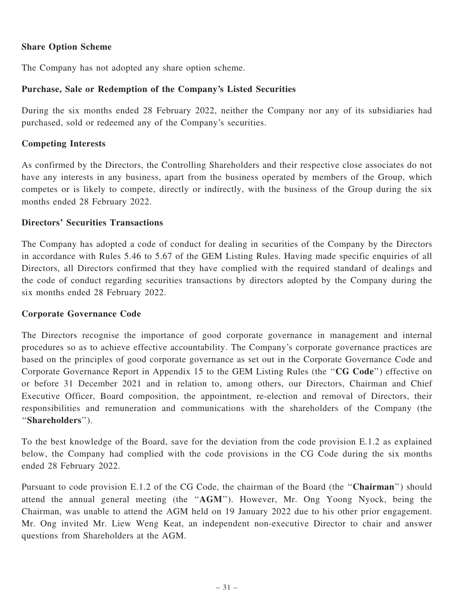### Share Option Scheme

The Company has not adopted any share option scheme.

### Purchase, Sale or Redemption of the Company's Listed Securities

During the six months ended 28 February 2022, neither the Company nor any of its subsidiaries had purchased, sold or redeemed any of the Company's securities.

### Competing Interests

As confirmed by the Directors, the Controlling Shareholders and their respective close associates do not have any interests in any business, apart from the business operated by members of the Group, which competes or is likely to compete, directly or indirectly, with the business of the Group during the six months ended 28 February 2022.

### Directors' Securities Transactions

The Company has adopted a code of conduct for dealing in securities of the Company by the Directors in accordance with Rules 5.46 to 5.67 of the GEM Listing Rules. Having made specific enquiries of all Directors, all Directors confirmed that they have complied with the required standard of dealings and the code of conduct regarding securities transactions by directors adopted by the Company during the six months ended 28 February 2022.

### Corporate Governance Code

The Directors recognise the importance of good corporate governance in management and internal procedures so as to achieve effective accountability. The Company's corporate governance practices are based on the principles of good corporate governance as set out in the Corporate Governance Code and Corporate Governance Report in Appendix 15 to the GEM Listing Rules (the ''CG Code'') effective on or before 31 December 2021 and in relation to, among others, our Directors, Chairman and Chief Executive Officer, Board composition, the appointment, re-election and removal of Directors, their responsibilities and remuneration and communications with the shareholders of the Company (the ''Shareholders'').

To the best knowledge of the Board, save for the deviation from the code provision E.1.2 as explained below, the Company had complied with the code provisions in the CG Code during the six months ended 28 February 2022.

Pursuant to code provision E.1.2 of the CG Code, the chairman of the Board (the ''Chairman'') should attend the annual general meeting (the ''AGM''). However, Mr. Ong Yoong Nyock, being the Chairman, was unable to attend the AGM held on 19 January 2022 due to his other prior engagement. Mr. Ong invited Mr. Liew Weng Keat, an independent non-executive Director to chair and answer questions from Shareholders at the AGM.